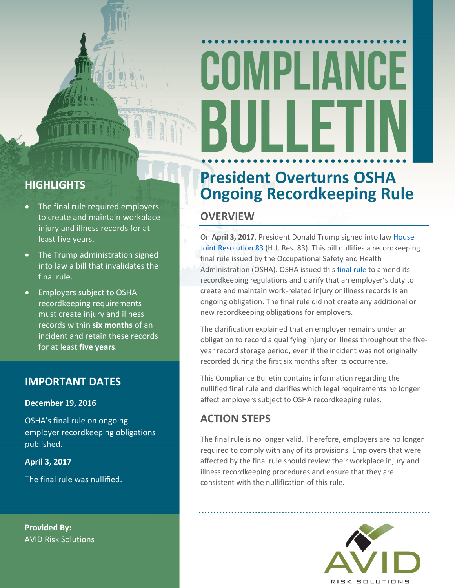# COMPLIANCE

# **HIGHLIGHTS**

- The final rule required employers to create and maintain workplace injury and illness records for at least five years.
- The Trump administration signed into law a bill that invalidates the final rule.
- Employers subject to OSHA recordkeeping requirements must create injury and illness records within **six months** of an incident and retain these records for at least **five years**.

## **IMPORTANT DATES**

#### **December 19, 2016**

OSHA's final rule on ongoing employer recordkeeping obligations published.

**April 3, 2017**

The final rule was nullified.

**Provided By:** AVID Risk Solutions

# **President Overturns OSHA Ongoing Recordkeeping Rule**

## **OVERVIEW**

On **April 3, 2017**, President Donald Trump signed into law [House](https://www.congress.gov/bill/115th-congress/house-joint-resolution/83/actions) [Joint](https://www.congress.gov/bill/115th-congress/house-joint-resolution/83/actions) [Resolution](https://www.congress.gov/bill/115th-congress/house-joint-resolution/83/actions) 83 (H.J. Res. 83). This bill nullifies a recordkeeping final rule issued by the Occupational Safety and Health Administration (OSHA). OSHA issued this [final](https://www.federalregister.gov/documents/2016/12/19/2016-30410/clarification-of-employers-continuing-obligation-to-make-and-maintain-an-accurate-record-of-each) r[ule](https://www.federalregister.gov/documents/2016/12/19/2016-30410/clarification-of-employers-continuing-obligation-to-make-and-maintain-an-accurate-record-of-each) to amend its recordkeeping regulations and clarify that an employer's duty to create and maintain work-related injury or illness records is an ongoing obligation. The final rule did not create any additional or new recordkeeping obligations for employers.

The clarification explained that an employer remains under an obligation to record a qualifying injury or illness throughout the fiveyear record storage period, even if the incident was not originally recorded during the first six months after its occurrence.

This Compliance Bulletin contains information regarding the nullified final rule and clarifies which legal requirements no longer affect employers subject to OSHA recordkeeping rules.

# **ACTION STEPS**

The final rule is no longer valid. Therefore, employers are no longer required to comply with any of its provisions. Employers that were affected by the final rule should review their workplace injury and illness recordkeeping procedures and ensure that they are consistent with the nullification of this rule.

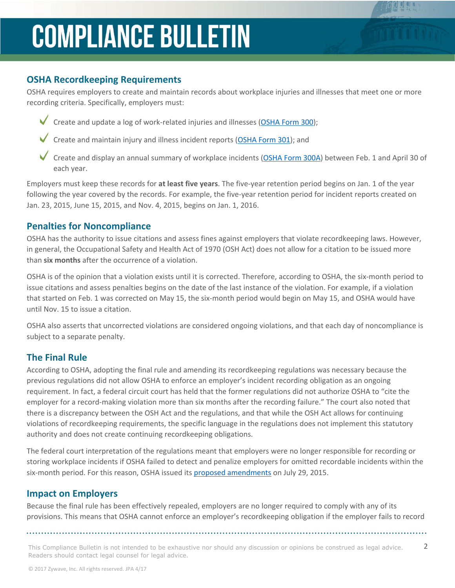# **COMPLIANCE BULLETIN**

## **OSHA Recordkeeping Requirements**

OSHA requires employers to create and maintain records about workplace injuries and illnesses that meet one or more recording criteria. Specifically, employers must:

- Create and update a log of work-related injuries and illnesses [\(OSHA](https://www.osha.gov/recordkeeping/RKforms.html) Form 3[00\)](https://www.osha.gov/recordkeeping/RKforms.html);
	- Create and maintain injury and illness incident reports ([OSHA](https://www.osha.gov/recordkeeping/RKforms.html) Form 3[01\)](https://www.osha.gov/recordkeeping/RKforms.html); and
	- Create and display an annual summary of workplace incidents [\(OSHA](https://www.osha.gov/recordkeeping/RKforms.html) Form 30[0A](https://www.osha.gov/recordkeeping/RKforms.html)) between Feb. 1 and April 30 of each year.

Employers must keep these records for **at least five years**. The five-year retention period begins on Jan. 1 of the year following the year covered by the records. For example, the five-year retention period for incident reports created on Jan. 23, 2015, June 15, 2015, and Nov. 4, 2015, begins on Jan. 1, 2016.

### **Penalties for Noncompliance**

OSHA has the authority to issue citations and assess fines against employers that violate recordkeeping laws. However, in general, the Occupational Safety and Health Act of 1970 (OSH Act) does not allow for a citation to be issued more than **six months** after the occurrence of a violation.

OSHA is of the opinion that a violation exists until it is corrected. Therefore, according to OSHA, the six-month period to issue citations and assess penalties begins on the date of the last instance of the violation. For example, if a violation that started on Feb. 1 was corrected on May 15, the six-month period would begin on May 15, and OSHA would have until Nov. 15 to issue a citation.

OSHA also asserts that uncorrected violations are considered ongoing violations, and that each day of noncompliance is subject to a separate penalty.

### **The Final Rule**

According to OSHA, adopting the final rule and amending its recordkeeping regulations was necessary because the previous regulations did not allow OSHA to enforce an employer's incident recording obligation as an ongoing requirement. In fact, a federal circuit court has held that the former regulations did not authorize OSHA to "cite the employer for a record-making violation more than six months after the recording failure." The court also noted that there is a discrepancy between the OSH Act and the regulations, and that while the OSH Act allows for continuing violations of recordkeeping requirements, the specific language in the regulations does not implement this statutory authority and does not create continuing recordkeeping obligations.

The federal court interpretation of the regulations meant that employers were no longer responsible for recording or storing workplace incidents if OSHA failed to detect and penalize employers for omitted recordable incidents within the six-month period. For this reason, OSHA issued its [proposed](https://www.federalregister.gov/articles/2015/07/29/2015-18003/clarification-of-employers-continuing-obligation-to-make-and-maintain-an-accurate-record-of-each) [amendments](https://www.federalregister.gov/articles/2015/07/29/2015-18003/clarification-of-employers-continuing-obligation-to-make-and-maintain-an-accurate-record-of-each) on July 29, 2015.

## **Impact on Employers**

Because the final rule has been effectively repealed, employers are no longer required to comply with any of its provisions. This means that OSHA cannot enforce an employer's recordkeeping obligation if the employer fails to record

This Compliance Bulletin is not intended to be exhaustive nor should any discussion or opinions be construed as legal advice.  $2$ Readers should contact legal counsel for legal advice.